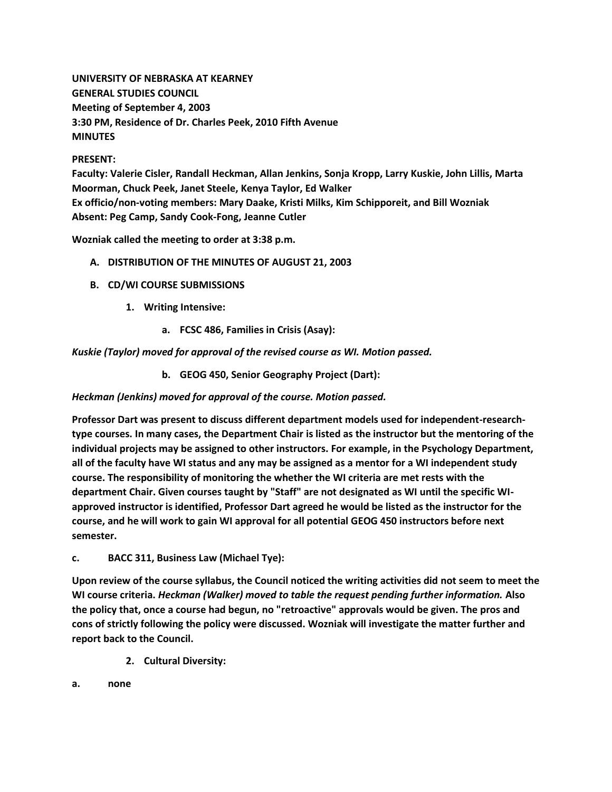**UNIVERSITY OF NEBRASKA AT KEARNEY GENERAL STUDIES COUNCIL Meeting of September 4, 2003 3:30 PM, Residence of Dr. Charles Peek, 2010 Fifth Avenue MINUTES**

### **PRESENT:**

**Faculty: Valerie Cisler, Randall Heckman, Allan Jenkins, Sonja Kropp, Larry Kuskie, John Lillis, Marta Moorman, Chuck Peek, Janet Steele, Kenya Taylor, Ed Walker Ex officio/non-voting members: Mary Daake, Kristi Milks, Kim Schipporeit, and Bill Wozniak Absent: Peg Camp, Sandy Cook-Fong, Jeanne Cutler**

**Wozniak called the meeting to order at 3:38 p.m.**

- **A. DISTRIBUTION OF THE MINUTES OF AUGUST 21, 2003**
- **B. CD/WI COURSE SUBMISSIONS**
	- **1. Writing Intensive:** 
		- **a. FCSC 486, Families in Crisis (Asay):**

*Kuskie (Taylor) moved for approval of the revised course as WI. Motion passed.*

**b. GEOG 450, Senior Geography Project (Dart):**

*Heckman (Jenkins) moved for approval of the course. Motion passed.*

**Professor Dart was present to discuss different department models used for independent-researchtype courses. In many cases, the Department Chair is listed as the instructor but the mentoring of the individual projects may be assigned to other instructors. For example, in the Psychology Department, all of the faculty have WI status and any may be assigned as a mentor for a WI independent study course. The responsibility of monitoring the whether the WI criteria are met rests with the department Chair. Given courses taught by "Staff" are not designated as WI until the specific WIapproved instructor is identified, Professor Dart agreed he would be listed as the instructor for the course, and he will work to gain WI approval for all potential GEOG 450 instructors before next semester.**

**c. BACC 311, Business Law (Michael Tye):**

**Upon review of the course syllabus, the Council noticed the writing activities did not seem to meet the WI course criteria.** *Heckman (Walker) moved to table the request pending further information.* **Also the policy that, once a course had begun, no "retroactive" approvals would be given. The pros and cons of strictly following the policy were discussed. Wozniak will investigate the matter further and report back to the Council.**

- **2. Cultural Diversity:**
- **a. none**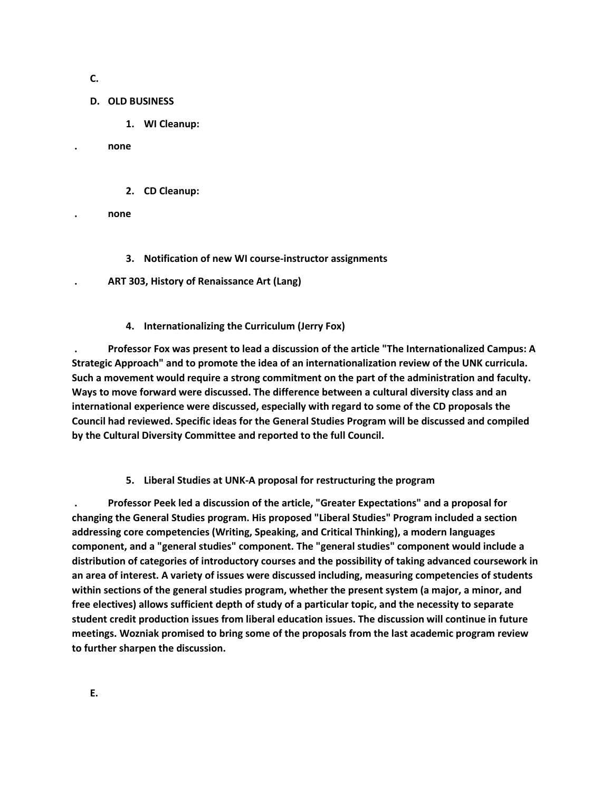**C.**

### **D. OLD BUSINESS**

**1. WI Cleanup:** 

**. none**

- **2. CD Cleanup:**
- **. none**
	- **3. Notification of new WI course-instructor assignments**
- **. ART 303, History of Renaissance Art (Lang)**
	- **4. Internationalizing the Curriculum (Jerry Fox)**

**. Professor Fox was present to lead a discussion of the article "The Internationalized Campus: A Strategic Approach" and to promote the idea of an internationalization review of the UNK curricula. Such a movement would require a strong commitment on the part of the administration and faculty. Ways to move forward were discussed. The difference between a cultural diversity class and an international experience were discussed, especially with regard to some of the CD proposals the Council had reviewed. Specific ideas for the General Studies Program will be discussed and compiled by the Cultural Diversity Committee and reported to the full Council.**

**5. Liberal Studies at UNK-A proposal for restructuring the program** 

**. Professor Peek led a discussion of the article, "Greater Expectations" and a proposal for changing the General Studies program. His proposed "Liberal Studies" Program included a section addressing core competencies (Writing, Speaking, and Critical Thinking), a modern languages component, and a "general studies" component. The "general studies" component would include a distribution of categories of introductory courses and the possibility of taking advanced coursework in an area of interest. A variety of issues were discussed including, measuring competencies of students within sections of the general studies program, whether the present system (a major, a minor, and free electives) allows sufficient depth of study of a particular topic, and the necessity to separate student credit production issues from liberal education issues. The discussion will continue in future meetings. Wozniak promised to bring some of the proposals from the last academic program review to further sharpen the discussion.**